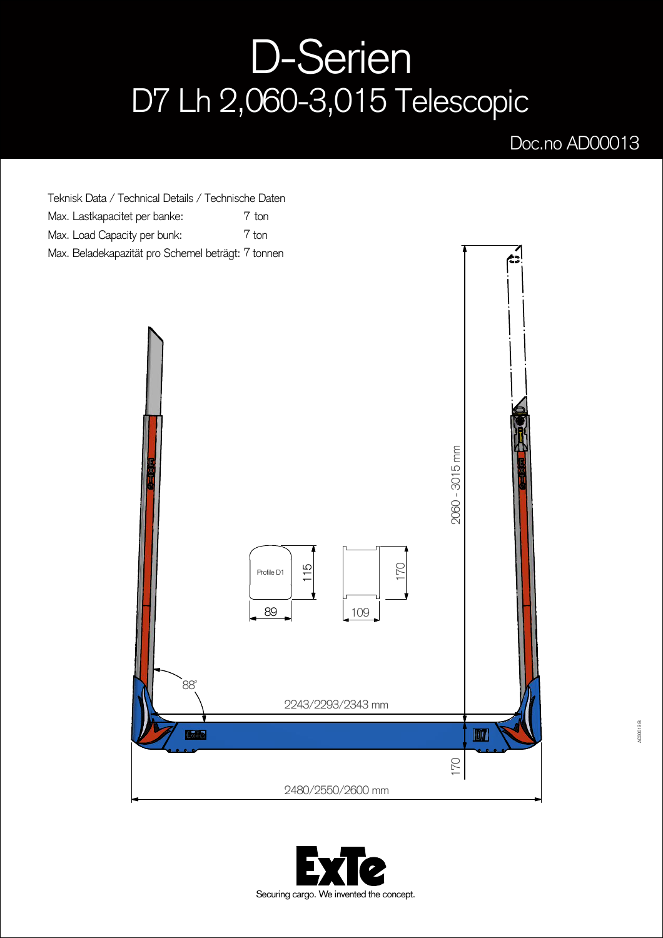## D-Serien D7 Lh 2,060-3,015 Telescopic

## Doc.no AD00013

Teknisk Data / Technical Details / Technische Daten Max. Lastkapacitet per banke: Max. Load Capacity per bunk: Max. Beladekapazität pro Schemel beträgt: 7 tonnen 7 ton 7 ton